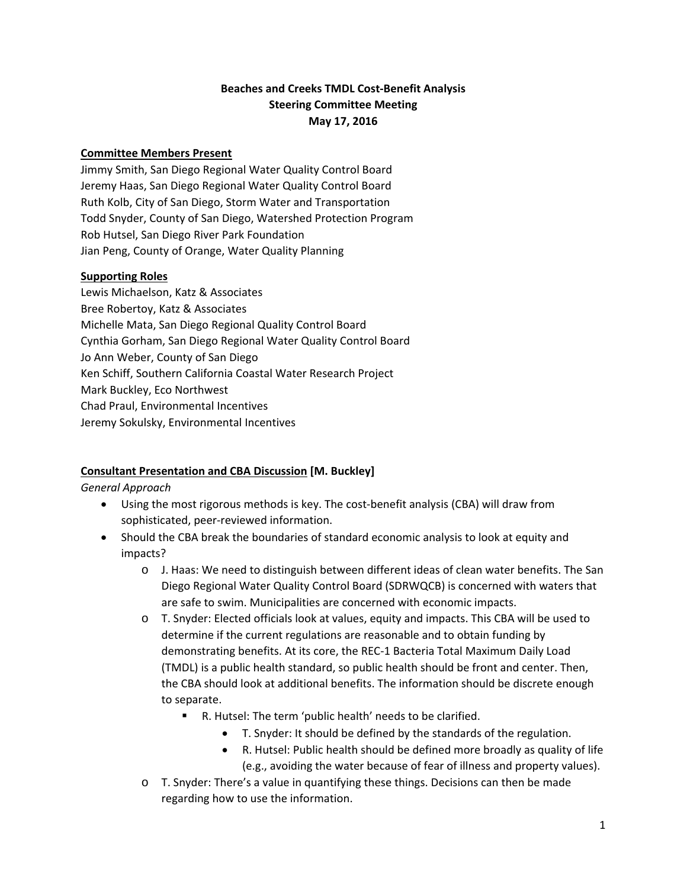## **Beaches and Creeks TMDL Cost‐Benefit Analysis Steering Committee Meeting May 17, 2016**

#### **Committee Members Present**

Jimmy Smith, San Diego Regional Water Quality Control Board Jeremy Haas, San Diego Regional Water Quality Control Board Ruth Kolb, City of San Diego, Storm Water and Transportation Todd Snyder, County of San Diego, Watershed Protection Program Rob Hutsel, San Diego River Park Foundation Jian Peng, County of Orange, Water Quality Planning

### **Supporting Roles**

Lewis Michaelson, Katz & Associates Bree Robertoy, Katz & Associates Michelle Mata, San Diego Regional Quality Control Board Cynthia Gorham, San Diego Regional Water Quality Control Board Jo Ann Weber, County of San Diego Ken Schiff, Southern California Coastal Water Research Project Mark Buckley, Eco Northwest Chad Praul, Environmental Incentives Jeremy Sokulsky, Environmental Incentives

# **Consultant Presentation and CBA Discussion [M. Buckley]**

#### *General Approach*

- Using the most rigorous methods is key. The cost-benefit analysis (CBA) will draw from sophisticated, peer‐reviewed information.
- Should the CBA break the boundaries of standard economic analysis to look at equity and impacts?
	- o J. Haas: We need to distinguish between different ideas of clean water benefits. The San Diego Regional Water Quality Control Board (SDRWQCB) is concerned with waters that are safe to swim. Municipalities are concerned with economic impacts.
	- o T. Snyder: Elected officials look at values, equity and impacts. This CBA will be used to determine if the current regulations are reasonable and to obtain funding by demonstrating benefits. At its core, the REC‐1 Bacteria Total Maximum Daily Load (TMDL) is a public health standard, so public health should be front and center. Then, the CBA should look at additional benefits. The information should be discrete enough to separate.
		- R. Hutsel: The term 'public health' needs to be clarified.
			- T. Snyder: It should be defined by the standards of the regulation.
			- R. Hutsel: Public health should be defined more broadly as quality of life (e.g., avoiding the water because of fear of illness and property values).
	- o T. Snyder: There's a value in quantifying these things. Decisions can then be made regarding how to use the information.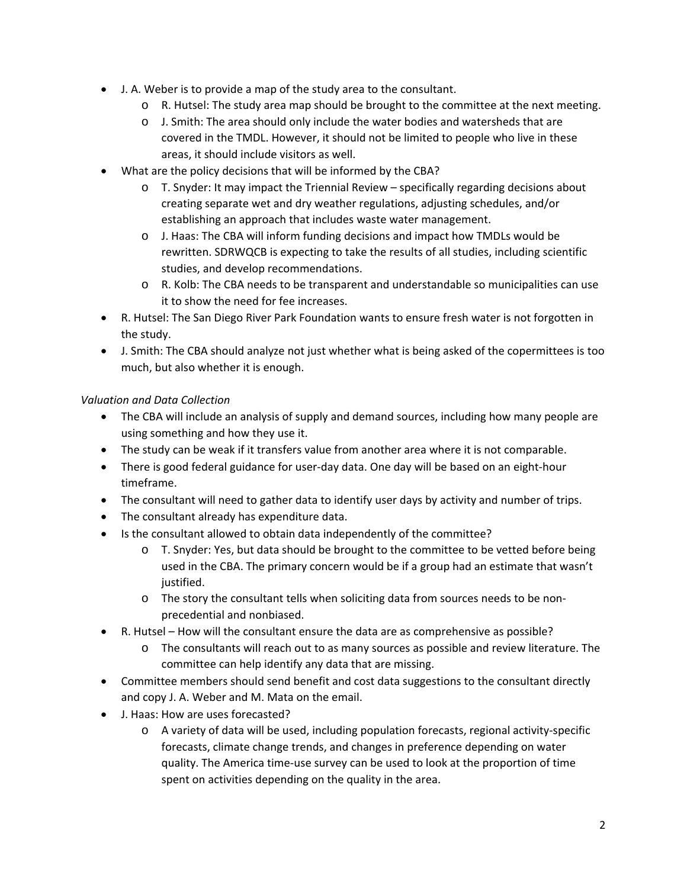- J. A. Weber is to provide a map of the study area to the consultant.
	- o R. Hutsel: The study area map should be brought to the committee at the next meeting.
	- $\circ$  J. Smith: The area should only include the water bodies and watersheds that are covered in the TMDL. However, it should not be limited to people who live in these areas, it should include visitors as well.
- What are the policy decisions that will be informed by the CBA?
	- $\circ$  T. Snyder: It may impact the Triennial Review specifically regarding decisions about creating separate wet and dry weather regulations, adjusting schedules, and/or establishing an approach that includes waste water management.
	- o J. Haas: The CBA will inform funding decisions and impact how TMDLs would be rewritten. SDRWQCB is expecting to take the results of all studies, including scientific studies, and develop recommendations.
	- o R. Kolb: The CBA needs to be transparent and understandable so municipalities can use it to show the need for fee increases.
- R. Hutsel: The San Diego River Park Foundation wants to ensure fresh water is not forgotten in the study.
- J. Smith: The CBA should analyze not just whether what is being asked of the copermittees is too much, but also whether it is enough.

### *Valuation and Data Collection*

- The CBA will include an analysis of supply and demand sources, including how many people are using something and how they use it.
- The study can be weak if it transfers value from another area where it is not comparable.
- There is good federal guidance for user-day data. One day will be based on an eight-hour timeframe.
- The consultant will need to gather data to identify user days by activity and number of trips.
- The consultant already has expenditure data.
- Is the consultant allowed to obtain data independently of the committee?
	- o T. Snyder: Yes, but data should be brought to the committee to be vetted before being used in the CBA. The primary concern would be if a group had an estimate that wasn't justified.
	- o The story the consultant tells when soliciting data from sources needs to be non‐ precedential and nonbiased.
- R. Hutsel How will the consultant ensure the data are as comprehensive as possible?
	- o The consultants will reach out to as many sources as possible and review literature. The committee can help identify any data that are missing.
- Committee members should send benefit and cost data suggestions to the consultant directly and copy J. A. Weber and M. Mata on the email.
- J. Haas: How are uses forecasted?
	- o A variety of data will be used, including population forecasts, regional activity‐specific forecasts, climate change trends, and changes in preference depending on water quality. The America time‐use survey can be used to look at the proportion of time spent on activities depending on the quality in the area.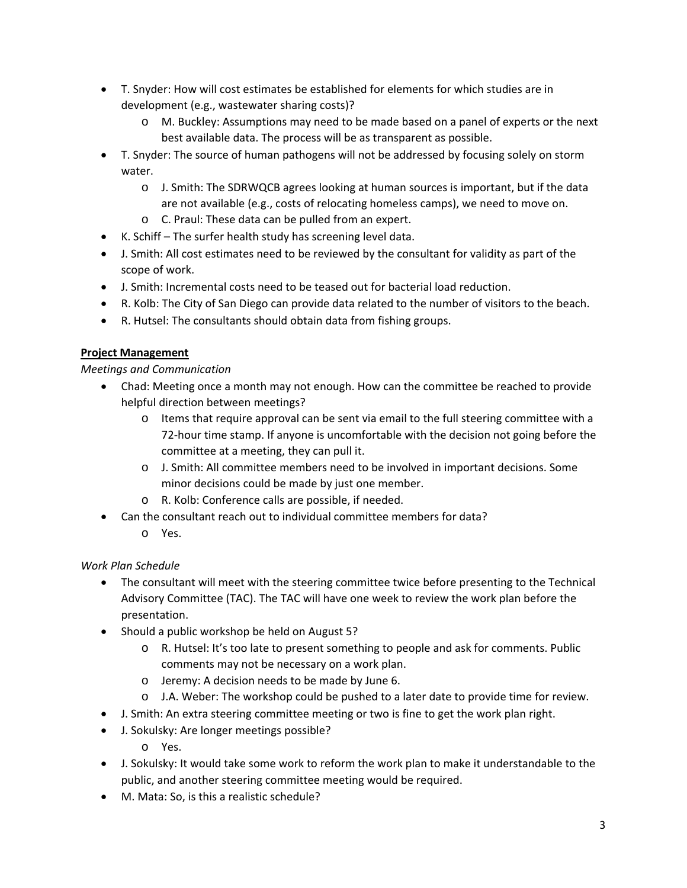- T. Snyder: How will cost estimates be established for elements for which studies are in development (e.g., wastewater sharing costs)?
	- o M. Buckley: Assumptions may need to be made based on a panel of experts or the next best available data. The process will be as transparent as possible.
- T. Snyder: The source of human pathogens will not be addressed by focusing solely on storm water.
	- o J. Smith: The SDRWQCB agrees looking at human sources is important, but if the data are not available (e.g., costs of relocating homeless camps), we need to move on.
	- o C. Praul: These data can be pulled from an expert.
- K. Schiff The surfer health study has screening level data.
- J. Smith: All cost estimates need to be reviewed by the consultant for validity as part of the scope of work.
- J. Smith: Incremental costs need to be teased out for bacterial load reduction.
- R. Kolb: The City of San Diego can provide data related to the number of visitors to the beach.
- R. Hutsel: The consultants should obtain data from fishing groups.

### **Project Management**

### *Meetings and Communication*

- Chad: Meeting once a month may not enough. How can the committee be reached to provide helpful direction between meetings?
	- o Items that require approval can be sent via email to the full steering committee with a 72‐hour time stamp. If anyone is uncomfortable with the decision not going before the committee at a meeting, they can pull it.
	- o J. Smith: All committee members need to be involved in important decisions. Some minor decisions could be made by just one member.
	- o R. Kolb: Conference calls are possible, if needed.
- Can the consultant reach out to individual committee members for data?
	- o Yes.

# *Work Plan Schedule*

- The consultant will meet with the steering committee twice before presenting to the Technical Advisory Committee (TAC). The TAC will have one week to review the work plan before the presentation.
- Should a public workshop be held on August 5?
	- o R. Hutsel: It's too late to present something to people and ask for comments. Public comments may not be necessary on a work plan.
	- o Jeremy: A decision needs to be made by June 6.
	- o J.A. Weber: The workshop could be pushed to a later date to provide time for review.
- J. Smith: An extra steering committee meeting or two is fine to get the work plan right.
- J. Sokulsky: Are longer meetings possible?
	- o Yes.
- J. Sokulsky: It would take some work to reform the work plan to make it understandable to the public, and another steering committee meeting would be required.
- M. Mata: So, is this a realistic schedule?